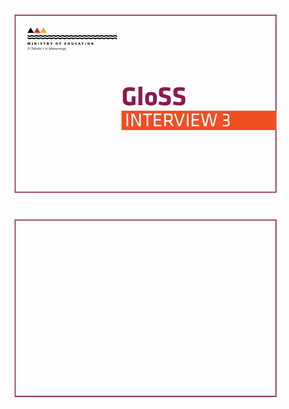

Te Tāhuhu o te Mātauranga

# **GLoSS GloSS**INTERVIEW 3

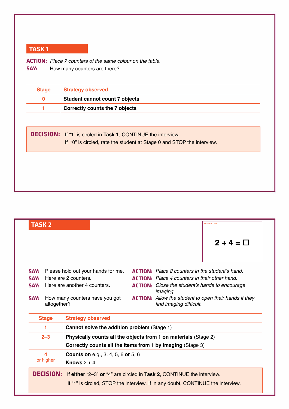**ACTION:** *Place 7 counters of the same colour on the table.*<br>**SAY:** How many counters are there? **Say:** How many counters are there?

| <b>Stage</b> | <b>Strategy observed</b>                                               |
|--------------|------------------------------------------------------------------------|
| $\Omega$     | Student cannot count 7 objects                                         |
|              | <b>Correctly counts the 7 objects</b>                                  |
|              |                                                                        |
|              | <b>DECISION:</b> If "1" is circled in Task 1, CONTINUE the interview.  |
|              | If "0" is circled, rate the student at Stage 0 and STOP the interview. |
|              |                                                                        |
|              |                                                                        |
|              |                                                                        |
|              |                                                                        |

|      | <b>TASK 2</b>                                                                |                                             |  | <b>INTERVIEW 3 TASK 2</b>                                                                                                                                                 |  |
|------|------------------------------------------------------------------------------|---------------------------------------------|--|---------------------------------------------------------------------------------------------------------------------------------------------------------------------------|--|
|      |                                                                              |                                             |  | $2 + 4 = \Box$                                                                                                                                                            |  |
| SAY: |                                                                              | Please hold out your hands for me.          |  | <b>ACTION:</b> Place 2 counters in the student's hand.                                                                                                                    |  |
| SAY: |                                                                              | Here are 2 counters.                        |  | <b>ACTION:</b> Place 4 counters in their other hand.                                                                                                                      |  |
| SAY: | Here are another 4 counters.                                                 |                                             |  | <b>ACTION:</b> Close the student's hands to encourage<br><i>imaging.</i>                                                                                                  |  |
| SAY: | altogether?                                                                  | How many counters have you got              |  | <b>ACTION:</b> Allow the student to open their hands if they<br>find imaging difficult.                                                                                   |  |
|      | <b>Stage</b>                                                                 | <b>Strategy observed</b>                    |  |                                                                                                                                                                           |  |
|      | 1                                                                            | Cannot solve the addition problem (Stage 1) |  |                                                                                                                                                                           |  |
|      | $2 - 3$                                                                      |                                             |  | Physically counts all the objects from 1 on materials (Stage 2)                                                                                                           |  |
|      | Correctly counts all the items from 1 by imaging (Stage 3)                   |                                             |  |                                                                                                                                                                           |  |
|      | 4<br><b>Counts on e.g., 3, 4, 5, 6 or 5, 6</b><br>or higher<br>Knows $2 + 4$ |                                             |  |                                                                                                                                                                           |  |
|      |                                                                              |                                             |  | <b>DECISION:</b> If either "2-3" or "4" are circled in Task 2, CONTINUE the interview.<br>If "1" is circled, STOP the interview. If in any doubt, CONTINUE the interview. |  |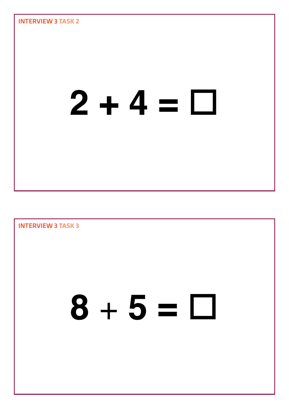

Interview 3 **Task 3**  $8 + 5 = \Box$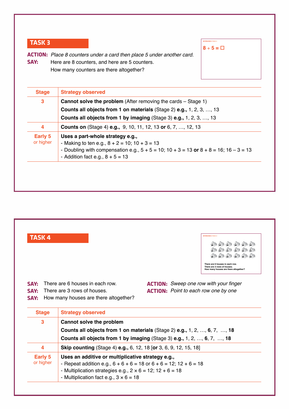| SAY:                        | <b>ACTION:</b> Place 8 counters under a card then place 5 under another card.<br>Here are 8 counters, and here are 5 counters.<br>How many counters are there altogether?                                                        |  |
|-----------------------------|----------------------------------------------------------------------------------------------------------------------------------------------------------------------------------------------------------------------------------|--|
| <b>Stage</b>                | <b>Strategy observed</b>                                                                                                                                                                                                         |  |
| 3                           | <b>Cannot solve the problem</b> (After removing the cards – Stage 1)<br><b>Counts all objects from 1 on materials (Stage 2) e.g., 1, 2, 3, , 13</b><br><b>Counts all objects from 1 by imaging (Stage 3) e.g., 1, 2, 3, , 13</b> |  |
| 4                           | <b>Counts on</b> (Stage 4) <b>e.g.,</b> 9, 10, 11, 12, 13 or 6, 7, , 12, 13                                                                                                                                                      |  |
| <b>Early 5</b><br>or higher | Uses a part-whole strategy e.g.,<br>- Making to ten e.g., $8 + 2 = 10$ ; $10 + 3 = 13$<br>- Doubling with compensation e.g., $5 + 5 = 10$ ; $10 + 3 = 13$ or $8 + 8 = 16$ ; $16 - 3 = 13$<br>- Addition fact e.g., $8 + 5 = 13$  |  |

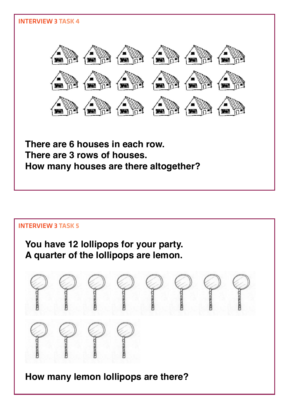

# Interview 3 **Task 5 You have 12 lollipops for your party. A quarter of the lollipops are lemon. How many lemon lollipops are there?**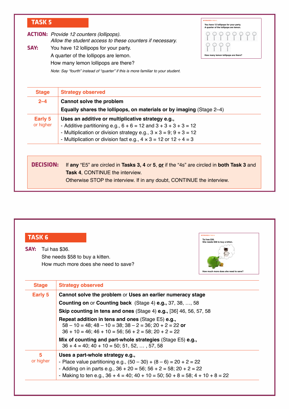**actIon:** *Provide 12 counters (lollipops).*  **Say:** *Allow the student access to these counters if necessary.* You have 12 lollipops for your party. A quarter of the lollipops are lemon.



How many lemon lollipops are there?

*Note: Say "fourth" instead of "quarter" if this is more familiar to your student.*

| <b>Stage</b>     | <b>Strategy observed</b>                                                                  |  |  |  |  |
|------------------|-------------------------------------------------------------------------------------------|--|--|--|--|
| $2 - 4$          | Cannot solve the problem                                                                  |  |  |  |  |
|                  | Equally shares the lollipops, on materials or by imaging (Stage 2-4)                      |  |  |  |  |
| Early 5          | Uses an additive or multiplicative strategy e.g.,                                         |  |  |  |  |
| or higher        | - Additive partitioning e.g., $6 + 6 = 12$ and $3 + 3 + 3 + 3 = 12$                       |  |  |  |  |
|                  | - Multiplication or division strategy e.g., $3 \times 3 = 9$ ; $9 + 3 = 12$               |  |  |  |  |
|                  | - Multiplication or division fact e.g., $4 \times 3 = 12$ or $12 \div 4 = 3$              |  |  |  |  |
| <b>DECISION:</b> | If any "E5" are circled in Tasks 3, 4 or 5, or if the "4s" are circled in both Task 3 and |  |  |  |  |
|                  | <b>Task 4, CONTINUE the interview.</b>                                                    |  |  |  |  |
|                  |                                                                                           |  |  |  |  |
|                  | Otherwise STOP the interview. If in any doubt, CONTINUE the interview.                    |  |  |  |  |

| <b>TASK 6</b><br>SAY: | <b>INTERVIEW 3 TASK</b><br>Tui has \$36.<br>She needs \$58 to buy a kitten.<br>Tui has \$36.<br>She needs \$58 to buy a kitten.<br>How much more does she need to save?<br>How much more does she need to save? |  |  |  |
|-----------------------|-----------------------------------------------------------------------------------------------------------------------------------------------------------------------------------------------------------------|--|--|--|
| <b>Stage</b>          | <b>Strategy observed</b>                                                                                                                                                                                        |  |  |  |
| <b>Early 5</b>        | Cannot solve the problem or Uses an earlier numeracy stage                                                                                                                                                      |  |  |  |
|                       | <b>Counting on or Counting back</b> (Stage 4) <b>e.g., 37, 38, , 58</b>                                                                                                                                         |  |  |  |
|                       | Skip counting in tens and ones (Stage 4) e.g., [36] 46, 56, 57, 58                                                                                                                                              |  |  |  |
|                       | <b>Repeat addition in tens and ones (Stage E5) e.g.,</b><br>$58 - 10 = 48$ ; $48 - 10 = 38$ ; $38 - 2 = 36$ ; $20 + 2 = 22$ or<br>$36 + 10 = 46$ ; $46 + 10 = 56$ ; $56 + 2 = 58$ ; $20 + 2 = 22$               |  |  |  |
|                       | Mix of counting and part-whole strategies (Stage E5) e.g.,<br>$36 + 4 = 40$ ; $40 + 10 = 50$ ; 51, 52, , 57, 58                                                                                                 |  |  |  |
| 5<br>or higher        | Uses a part-whole strategy e.g.,<br>- Place value partitioning e.g., $(50 - 30) + (8 - 6) = 20 + 2 = 22$                                                                                                        |  |  |  |
|                       | - Adding on in parts e.g., $36 + 20 = 56$ ; $56 + 2 = 58$ ; $20 + 2 = 22$<br>- Making to ten e.g., $36 + 4 = 40$ ; $40 + 10 = 50$ ; $50 + 8 = 58$ ; $4 + 10 + 8 = 22$                                           |  |  |  |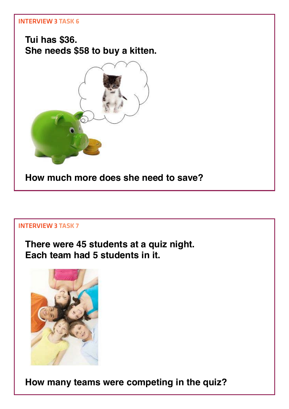

**There were 45 students at a quiz night. Each team had 5 students in it.**



**How many teams were competing in the quiz?**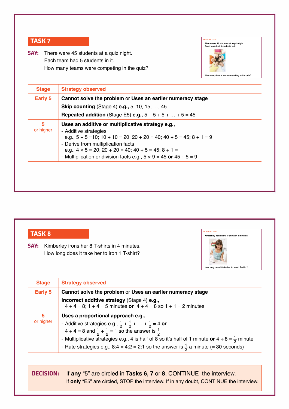**Say:** There were 45 students at a quiz night. Each team had 5 students in it. How many teams were competing in the quiz?



| Early 5        | Cannot solve the problem or Uses an earlier numeracy stage<br><b>Skip counting (Stage 4) e.g., 5, 10, 15, , 45</b>                                                                                                                                                                                                                                              |
|----------------|-----------------------------------------------------------------------------------------------------------------------------------------------------------------------------------------------------------------------------------------------------------------------------------------------------------------------------------------------------------------|
|                | <b>Repeated addition</b> (Stage E5) <b>e.g.,</b> $5 + 5 + 5 +  + 5 = 45$                                                                                                                                                                                                                                                                                        |
| 5<br>or higher | Uses an additive or multiplicative strategy e.g.,<br>- Additive strategies<br>e.g., $5 + 5 = 10$ ; $10 + 10 = 20$ ; $20 + 20 = 40$ ; $40 + 5 = 45$ ; $8 + 1 = 9$<br>- Derive from multiplication facts<br>e.g., $4 \times 5 = 20$ ; $20 + 20 = 40$ ; $40 + 5 = 45$ ; $8 + 1 =$<br>- Multiplication or division facts e.g., $5 \times 9 = 45$ or $45 \div 5 = 9$ |

| <b>TASK 8</b><br>SAY: | Kimberley irons her 8 T-shirts in 4 minutes.<br>How long does it take her to iron 1 T-shirt?                                                                                                                                                                                                                                                                                                                              | Kimberley irons her 8 T-shirts in 4 minutes.<br>How long does it take her to iron 1 T-shirt? |  |
|-----------------------|---------------------------------------------------------------------------------------------------------------------------------------------------------------------------------------------------------------------------------------------------------------------------------------------------------------------------------------------------------------------------------------------------------------------------|----------------------------------------------------------------------------------------------|--|
| <b>Stage</b>          | <b>Strategy observed</b>                                                                                                                                                                                                                                                                                                                                                                                                  |                                                                                              |  |
| <b>Early 5</b>        | Cannot solve the problem or Uses an earlier numeracy stage                                                                                                                                                                                                                                                                                                                                                                |                                                                                              |  |
|                       | Incorrect additive strategy (Stage 4) e.g.,<br>$4 + 4 = 8$ ; 1 + 4 = 5 minutes or $4 + 4 = 8$ so 1 + 1 = 2 minutes                                                                                                                                                                                                                                                                                                        |                                                                                              |  |
| 5<br>or higher        | Uses a proportional approach e.g.,<br>- Additive strategies e.g., $\frac{1}{2} + \frac{1}{2} +  + \frac{1}{2} = 4$ or<br>4 + 4 = 8 and $\frac{1}{2}$ + $\frac{1}{2}$ = 1 so the answer is $\frac{1}{2}$<br>- Multiplicative strategies e.g., 4 is half of 8 so it's half of 1 minute or $4 \div 8 = \frac{1}{2}$ minute<br>- Rate strategies e.g., 8:4 = 4:2 = 2:1 so the answer is $\frac{1}{2}$ a minute (= 30 seconds) |                                                                                              |  |

**decISIon:** If **any** "5" are circled in **Tasks 6, 7** or **8**, CONTINUE the interview. If **only** "E5" are circled, STOP the interview. If in any doubt, CONTINUE the interview.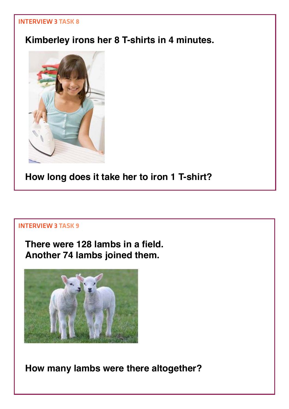# **Kimberley irons her 8 T-shirts in 4 minutes.**



**How long does it take her to iron 1 T-shirt?**

#### Interview 3 **Task 9**

**There were 128 lambs in a field. Another 74 lambs joined them.** 



**How many lambs were there altogether?**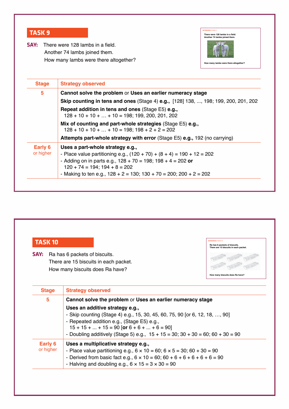| <b>TASK 9</b><br>SAY: | There were 128 lambs in a field.<br>Another 74 lambs joined them.<br>There were 128 lambs in a field.<br>Another 74 lambs joined them.<br>How many lambs were there altogether?<br>How many lambs were there altogether? |  |  |  |
|-----------------------|--------------------------------------------------------------------------------------------------------------------------------------------------------------------------------------------------------------------------|--|--|--|
| <b>Stage</b>          | <b>Strategy observed</b>                                                                                                                                                                                                 |  |  |  |
| 5                     | Cannot solve the problem or Uses an earlier numeracy stage                                                                                                                                                               |  |  |  |
|                       | Skip counting in tens and ones (Stage 4) e.g., [128] 138, , 198; 199, 200, 201, 202                                                                                                                                      |  |  |  |
|                       | <b>Repeat addition in tens and ones (Stage E5) e.g.,</b><br>$128 + 10 + 10 +  + 10 = 198$ ; 199, 200, 201, 202                                                                                                           |  |  |  |
|                       |                                                                                                                                                                                                                          |  |  |  |
|                       | Mix of counting and part-whole strategies (Stage E5) e.g.,<br>$128 + 10 + 10 +  + 10 = 198$ ; $198 + 2 + 2 = 202$                                                                                                        |  |  |  |
|                       | Attempts part-whole strategy with error (Stage E5) e.g., 192 (no carrying)                                                                                                                                               |  |  |  |
| Early 6<br>or higher  | Uses a part-whole strategy e.g.,<br>- Place value partitioning e.g., $(120 + 70) + (8 + 4) = 190 + 12 = 202$<br>- Adding on in parts e.g., $128 + 70 = 198$ ; $198 + 4 = 202$ or<br>$120 + 74 = 194$ ; $194 + 8 = 202$   |  |  |  |

| <b>TASK10</b><br>SAY: | Ra has 6 packets of biscuits.<br>There are 15 biscuits in each packet.<br>Ra has 6 packets of biscuits.<br>There are 15 biscuits in each packet.<br>How many biscuits does Ra have?<br>How many biscuits does Ra have?                                                                                                                                                   |
|-----------------------|--------------------------------------------------------------------------------------------------------------------------------------------------------------------------------------------------------------------------------------------------------------------------------------------------------------------------------------------------------------------------|
| <b>Stage</b>          | <b>Strategy observed</b>                                                                                                                                                                                                                                                                                                                                                 |
| 5                     | Cannot solve the problem or Uses an earlier numeracy stage<br>Uses an additive strategy e.g.,<br>- Skip counting (Stage 4) e.g., 15, 30, 45, 60, 75, 90 [or 6, 12, 18, , 90]<br>- Repeated addition e.g., (Stage E5) e.g.,<br>$15 + 15 +  + 15 = 90$ [or $6 + 6 +  + 6 = 90$ ]<br>- Doubling additively (Stage 5) e.g., $15 + 15 = 30$ ; $30 + 30 = 60$ ; $60 + 30 = 90$ |
| Early 6<br>or higher  | Uses a multiplicative strategy e.g.,<br>- Place value partitioning e.g., $6 \times 10 = 60$ ; $6 \times 5 = 30$ ; $60 + 30 = 90$<br>- Derived from basic fact e.g., $6 \times 10 = 60$ ; $60 + 6 + 6 + 6 + 6 + 6 = 90$<br>- Halving and doubling e.g., $6 \times 15 = 3 \times 30 = 90$                                                                                  |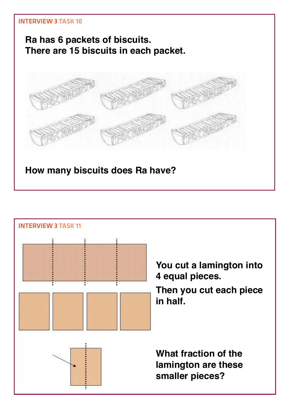

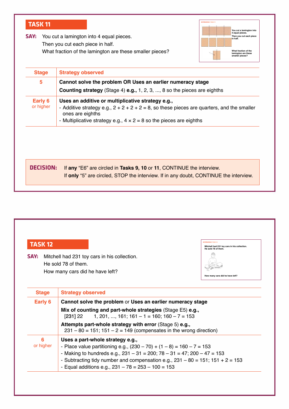| <b>TASK 11</b><br>SAY:                                                                                                                                    | <b>INTERVIEW 3 TASK 11</b><br>You cut a lamington into<br>4 equal pieces.<br>You cut a lamington into 4 equal pieces.<br>Then you cut each piece<br>in half.<br>Then you cut each piece in half.<br>What fraction of the lamington are these smaller pieces?<br>What fraction of the<br>lamington are these<br>smaller pieces? |  |
|-----------------------------------------------------------------------------------------------------------------------------------------------------------|--------------------------------------------------------------------------------------------------------------------------------------------------------------------------------------------------------------------------------------------------------------------------------------------------------------------------------|--|
| <b>Stage</b>                                                                                                                                              | <b>Strategy observed</b>                                                                                                                                                                                                                                                                                                       |  |
| Cannot solve the problem OR Uses an earlier numeracy stage<br>5<br><b>Counting strategy</b> (Stage 4) <b>e.g.,</b> 1, 2, 3, , 8 so the pieces are eighths |                                                                                                                                                                                                                                                                                                                                |  |
| <b>Early 6</b><br>or higher                                                                                                                               | Uses an additive or multiplicative strategy e.g.,<br>- Additive strategy e.g., $2 + 2 + 2 + 2 = 8$ , so these pieces are quarters, and the smaller<br>ones are eighths<br>- Multiplicative strategy e.g., $4 \times 2 = 8$ so the pieces are eighths                                                                           |  |
|                                                                                                                                                           |                                                                                                                                                                                                                                                                                                                                |  |
| <b>DECISION:</b>                                                                                                                                          | If any "E6" are circled in Tasks 9, 10 or 11, CONTINUE the interview.<br>If only "5" are circled, STOP the interview. If in any doubt, CONTINUE the interview.                                                                                                                                                                 |  |

| <b>Service Service</b> | <b>Contract Contract Contract Contract Contract Contract Contract Contract Contract Contract Contract Contract C</b> | $\mathcal{L}^{\text{max}}_{\text{max}}$ and $\mathcal{L}^{\text{max}}_{\text{max}}$ and $\mathcal{L}^{\text{max}}_{\text{max}}$ |                        | . .                                                                                                                   |
|------------------------|----------------------------------------------------------------------------------------------------------------------|---------------------------------------------------------------------------------------------------------------------------------|------------------------|-----------------------------------------------------------------------------------------------------------------------|
| <b>Service Service</b> |                                                                                                                      |                                                                                                                                 | <b>Service Service</b> | <b>Contract Contract Contract Contract Contract Contract Contract Contract Contract Contract Contract Contract Co</b> |

| <b>SAY:</b> Mitchell had 231 toy cars in his collection. |
|----------------------------------------------------------|
| He sold 78 of them.                                      |
| How many cars did he have left?                          |

| He sold 78 of them. | Mitchell had 231 toy cars in his collection. |
|---------------------|----------------------------------------------|
|                     |                                              |
|                     | How many cars did he have left?              |

| <b>Stage</b>   | <b>Strategy observed</b>                                                                                                                                                                                                                                                                                                                      |
|----------------|-----------------------------------------------------------------------------------------------------------------------------------------------------------------------------------------------------------------------------------------------------------------------------------------------------------------------------------------------|
| Early 6        | Cannot solve the problem or Uses an earlier numeracy stage                                                                                                                                                                                                                                                                                    |
|                | Mix of counting and part-whole strategies (Stage E5) e.g.,<br>1, 201, , 161; 161 – 1 = 160; 160 – 7 = 153<br>[231] 22                                                                                                                                                                                                                         |
|                | Attempts part-whole strategy with error (Stage 5) e.g.,<br>$231 - 80 = 151$ ; $151 - 2 = 149$ (compensates in the wrong direction)                                                                                                                                                                                                            |
| 6<br>or higher | Uses a part-whole strategy e.g.,<br>- Place value partitioning e.g., $(230 - 70) + (1 - 8) = 160 - 7 = 153$<br>- Making to hundreds e.g., $231 - 31 = 200$ ; $78 - 31 = 47$ ; $200 - 47 = 153$<br>- Subtracting tidy number and compensation e.g., $231 - 80 = 151$ ; $151 + 2 = 153$<br>- Equal additions e.g., $231 - 78 = 253 - 100 = 153$ |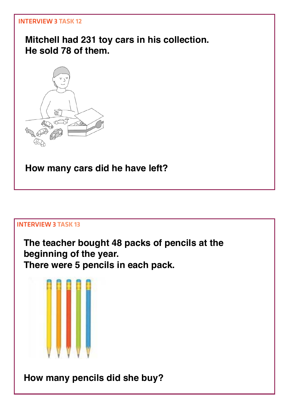**Mitchell had 231 toy cars in his collection. He sold 78 of them.**



**How many cars did he have left?**

# Interview 3 **Task 13**

**The teacher bought 48 packs of pencils at the beginning of the year. There were 5 pencils in each pack.** 

**How many pencils did she buy?**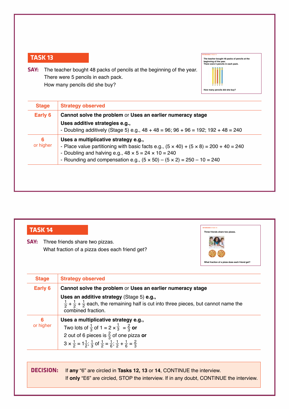**SAY:** The teacher bought 48 packs of pencils at the beginning of the year. There were 5 pencils in each pack. How many pencils did she buy?



| Early 6        | Cannot solve the problem or Uses an earlier numeracy stage                                                                                                                                                                                                                                        |
|----------------|---------------------------------------------------------------------------------------------------------------------------------------------------------------------------------------------------------------------------------------------------------------------------------------------------|
|                | Uses additive strategies e.g.,<br>- Doubling additively (Stage 5) e.g., $48 + 48 = 96$ ; $96 + 96 = 192$ ; $192 + 48 = 240$                                                                                                                                                                       |
| 6<br>or higher | Uses a multiplicative strategy e.g.,<br>- Place value partitioning with basic facts e.g., $(5 \times 40) + (5 \times 8) = 200 + 40 = 240$<br>- Doubling and halving e.g., $48 \times 5 = 24 \times 10 = 240$<br>- Rounding and compensation e.g., $(5 \times 50) - (5 \times 2) = 250 - 10 = 240$ |

| SAY:             | Three friends share two pizzas.<br>What fraction of a pizza does each friend get?                                                                                                                                                                                                                            | What fraction of a pizza does each friend get? |
|------------------|--------------------------------------------------------------------------------------------------------------------------------------------------------------------------------------------------------------------------------------------------------------------------------------------------------------|------------------------------------------------|
| <b>Stage</b>     | <b>Strategy observed</b>                                                                                                                                                                                                                                                                                     |                                                |
| <b>Early 6</b>   | Cannot solve the problem or Uses an earlier numeracy stage                                                                                                                                                                                                                                                   |                                                |
|                  | Uses an additive strategy (Stage 5) e.g.,<br>$\frac{1}{2}$ + $\frac{1}{2}$ + $\frac{1}{2}$ each, the remaining half is cut into three pieces, but cannot name the<br>combined fraction.                                                                                                                      |                                                |
| 6<br>or higher   | Uses a multiplicative strategy e.g.,<br>Two lots of $\frac{1}{3}$ of 1 = 2 $\times \frac{1}{3}$ = $\frac{2}{3}$ or<br>2 out of 6 pieces is $\frac{2}{3}$ of one pizza or<br>$3 \times \frac{1}{2} = 1\frac{1}{2}$ ; $\frac{1}{3}$ of $\frac{1}{2} = \frac{1}{6}$ ; $\frac{1}{2} + \frac{1}{6} = \frac{2}{3}$ |                                                |
| <b>DECISION:</b> | If any "6" are circled in Tasks 12, 13 or 14, CONTINUE the interview.<br>If only "E6" are circled, STOP the interview. If in any doubt, CONTINUE the interview.                                                                                                                                              |                                                |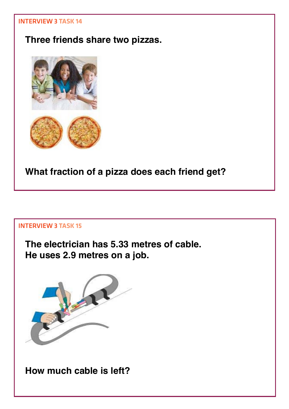# **Three friends share two pizzas.**



**What fraction of a pizza does each friend get?**

# Interview 3 **Task 15**

**The electrician has 5.33 metres of cable. He uses 2.9 metres on a job.**



**How much cable is left?**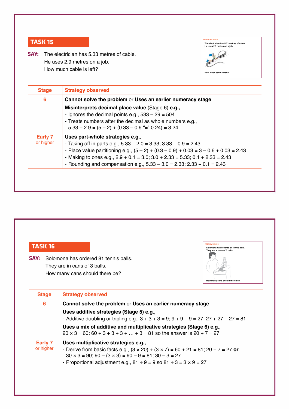**Say:** The electrician has 5.33 metres of cable. He uses 2.9 metres on a job. How much cable is left?



| 6                    | Cannot solve the problem or Uses an earlier numeracy stage                           |
|----------------------|--------------------------------------------------------------------------------------|
|                      | Misinterprets decimal place value (Stage 6) e.g.,                                    |
|                      | - Ignores the decimal points e.g., $533 - 29 = 504$                                  |
|                      | - Treats numbers after the decimal as whole numbers e.g.,                            |
|                      | $5.33 - 2.9 = (5 - 2) + (0.33 - 0.9)$ = $0.24$ = 3.24                                |
| Early 7<br>or higher | Uses part-whole strategies e.g.,                                                     |
|                      | - Taking off in parts e.g., $5.33 - 2.0 = 3.33$ ; $3.33 - 0.9 = 2.43$                |
|                      | - Place value partitioning e.g., $(5-2) + (0.3-0.9) + 0.03 = 3 - 0.6 + 0.03 = 2.43$  |
|                      | - Making to ones e.g., $2.9 + 0.1 = 3.0$ ; $3.0 + 2.33 = 5.33$ ; $0.1 + 2.33 = 2.43$ |
|                      | - Rounding and compensation e.g., $5.33 - 3.0 = 2.33$ ; $2.33 + 0.1 = 2.43$          |

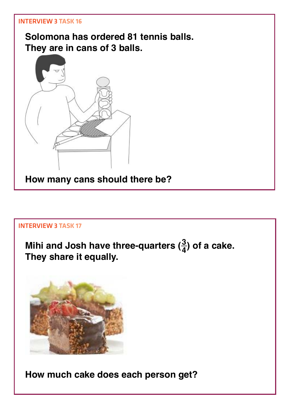**Solomona has ordered 81 tennis balls. They are in cans of 3 balls.** 



Interview 3 **Task 17**

**Mihi and Josh have three-quarters (<sup>4</sup> <sup>3</sup>) of a cake. They share it equally.**



**How much cake does each person get?**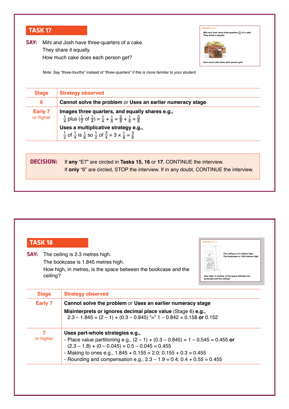**SAY:** Mihi and Josh have three-quarters of a cake. They share it equally. How much cake does each person get?



*Note: Say "three-fourths" instead of "three-quarters" if this is more familiar to your student.*

| <b>Stage</b>                | <b>Strategy observed</b>                                                                                                                                                     |
|-----------------------------|------------------------------------------------------------------------------------------------------------------------------------------------------------------------------|
| 6                           | Cannot solve the problem or Uses an earlier numeracy stage                                                                                                                   |
| <b>Early 7</b><br>or higher | Images three quarters, and equally shares e.g.,<br>$\frac{1}{4}$ plus $(\frac{1}{2}$ of $\frac{1}{4}) = \frac{1}{4} + \frac{1}{8} = \frac{2}{8} + \frac{1}{8} = \frac{3}{8}$ |
|                             | Uses a multiplicative strategy e.g.,<br>$\frac{1}{2}$ of $\frac{1}{4}$ is $\frac{1}{8}$ so $\frac{1}{2}$ of $\frac{3}{4}$ = 3 $\times \frac{1}{8}$ = $\frac{3}{8}$           |
|                             |                                                                                                                                                                              |
| <b>DECISION:</b>            | If any "E7" are circled in Tasks 15, 16 or 17, CONTINUE the interview.                                                                                                       |
|                             | If only "6" are circled, STOP the interview. If in any doubt, CONTINUE the interview.                                                                                        |
|                             |                                                                                                                                                                              |

| <b>TASK 18</b>   |                                                                                                                                                                                                      | <b>INTERVIEW 3 TASK 18</b>                                                                                                                          |
|------------------|------------------------------------------------------------------------------------------------------------------------------------------------------------------------------------------------------|-----------------------------------------------------------------------------------------------------------------------------------------------------|
| SAY:<br>ceiling? | The ceiling is 2.3 metres high.<br>The bookcase is 1.845 metres high.<br>How high, in metres, is the space between the bookcase and the                                                              | The ceiling is 2.3 metres high.<br>The bookcase is 1.845 metres high.<br>How high, in metres, is the space between the<br>bookcase and the ceiling? |
| <b>Stage</b>     | <b>Strategy observed</b>                                                                                                                                                                             |                                                                                                                                                     |
| <b>Early 7</b>   | Cannot solve the problem or Uses an earlier numeracy stage<br>Misinterprets or ignores decimal place value (Stage 6) e.g.,<br>$2.3 - 1.845 = (2 - 1) + (0.3 - 0.845)$ "=" 1 - 0.842 = 0.158 or 0.152 |                                                                                                                                                     |
| 7<br>or higher   | Uses part-whole strategies e.g.,<br>- Place value partitioning e.g., $(2 - 1) + (0.3 - 0.845) = 1 - 0.545 = 0.455$ or<br>$(2.3 - 1.8) + (0 - 0.045) = 0.5 - 0.045 = 0.455$                           |                                                                                                                                                     |
|                  | - Making to ones e.g., $1.845 + 0.155 = 2.0$ ; $0.155 + 0.3 = 0.455$<br>- Rounding and compensation e.g., $2.3 - 1.9 = 0.4$ ; $0.4 + 0.55 = 0.455$                                                   |                                                                                                                                                     |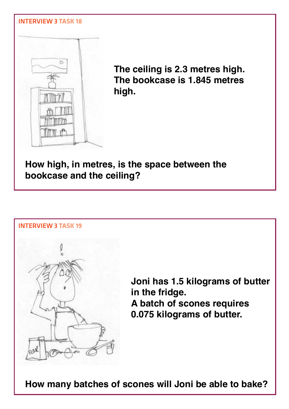

**The ceiling is 2.3 metres high. The bookcase is 1.845 metres high.**

**How high, in metres, is the space between the bookcase and the ceiling?**



**How many batches of scones will Joni be able to bake?**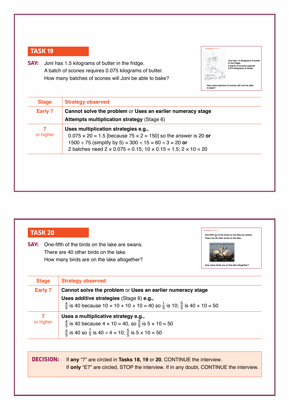**Say:** Joni has 1.5 kilograms of butter in the fridge. A batch of scones requires 0.075 kilograms of butter. How many batches of scones will Joni be able to bake?



IntervIew 3 **taSk 20 One-fifth (<sup>5</sup>**

 $\left(\frac{1}{n}\right)$  of the birds on the lake **There are 40 other birds on the lake.**

**How many birds are on the lake altogether?**

| Early 7        | Cannot solve the problem or Uses an earlier numeracy stage<br><b>Attempts multiplication strategy (Stage 6)</b>                                                                                                                                                                    |
|----------------|------------------------------------------------------------------------------------------------------------------------------------------------------------------------------------------------------------------------------------------------------------------------------------|
| 7<br>or higher | Uses multiplication strategies e.g.,<br>$0.075 \times 20 = 1.5$ [because 75 $\times$ 2 = 150] so the answer is 20 or<br>$1500 \div 75$ (simplify by 5) = 300 $\div 15 = 60 \div 3 = 20$ or<br>2 batches need $2 \times 0.075 = 0.15$ ; $10 \times 0.15 = 1.5$ ; $2 \times 10 = 20$ |
|                |                                                                                                                                                                                                                                                                                    |

| $\mathcal{L}^{\text{max}}_{\text{max}}$ and $\mathcal{L}^{\text{max}}_{\text{max}}$ and $\mathcal{L}^{\text{max}}_{\text{max}}$ | $\mathcal{L}^{\text{max}}_{\text{max}}$ and $\mathcal{L}^{\text{max}}_{\text{max}}$ and $\mathcal{L}^{\text{max}}_{\text{max}}$ |                                                                                                                |                                                                                                                                 |
|---------------------------------------------------------------------------------------------------------------------------------|---------------------------------------------------------------------------------------------------------------------------------|----------------------------------------------------------------------------------------------------------------|---------------------------------------------------------------------------------------------------------------------------------|
|                                                                                                                                 |                                                                                                                                 |                                                                                                                |                                                                                                                                 |
|                                                                                                                                 |                                                                                                                                 |                                                                                                                |                                                                                                                                 |
| <b>Service Service</b>                                                                                                          | and the control of the con-<br><b>Service Service</b><br>.,                                                                     | and the state of the state of the state of the state of the state of the state of the state of the state of th | $\mathcal{L}^{\text{max}}_{\text{max}}$ and $\mathcal{L}^{\text{max}}_{\text{max}}$ and $\mathcal{L}^{\text{max}}_{\text{max}}$ |

| <b>SAY:</b> One-fifth of the birds on the lake are swans. |
|-----------------------------------------------------------|
| There are 40 other birds on the lake.                     |
| How many birds are on the lake altogether?                |



**decISIon:** If **any** "7" are circled in **Tasks 18, 19** or **20**, CONTINUE the interview. If **only** "E7" are circled, STOP the interview. If in any doubt, CONTINUE the interview.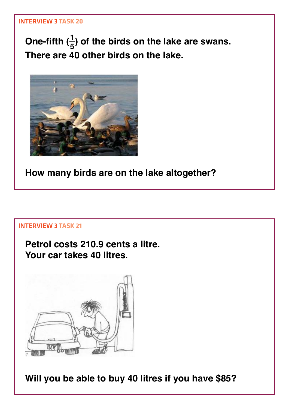One-fifth  $(\frac{1}{5})$  of the birds on the lake are swans. **There are 40 other birds on the lake.**



**How many birds are on the lake altogether?**

# Interview 3 **Task 21**

**Petrol costs 210.9 cents a litre. Your car takes 40 litres.**



**Will you be able to buy 40 litres if you have \$85?**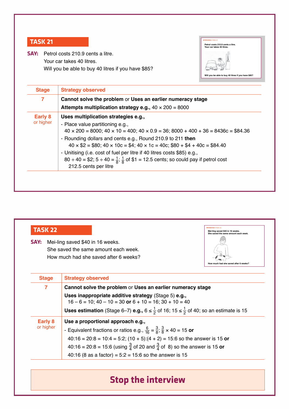**Say:** Petrol costs 210.9 cents a litre. Your car takes 40 litres. Will you be able to buy 40 litres if you have \$85?



| 7                           | Cannot solve the problem or Uses an earlier numeracy stage<br>Attempts multiplication strategy e.g., $40 \times 200 = 8000$ |  |
|-----------------------------|-----------------------------------------------------------------------------------------------------------------------------|--|
| <b>Early 8</b><br>or higher | Uses multiplication strategies e.g.,                                                                                        |  |
|                             | - Place value partitioning e.g.,                                                                                            |  |
|                             | $40 \times 200 = 8000$ ; $40 \times 10 = 400$ ; $40 \times 0.9 = 36$ ; $8000 + 400 + 36 = 8436c = $84.36$                   |  |
|                             | - Rounding dollars and cents e.g., Round 210.9 to 211 then                                                                  |  |
|                             | $40 \times $2 = $80$ ; $40 \times 10c = $4$ ; $40 \times 1c = 40c$ ; \$80 + \$4 + 40c = \$84.40                             |  |
|                             | - Unitising (i.e. cost of fuel per litre if 40 litres costs \$85) e.g.,                                                     |  |
|                             | 80 ÷ 40 = \$2; 5 ÷ 40 = $\frac{1}{8}$ ; $\frac{1}{8}$ of \$1 = 12.5 cents; so could pay if petrol cost                      |  |
|                             | 212.5 cents per litre                                                                                                       |  |

| <b>TASK 22</b><br>Mei-ling saved \$40 in 16 weeks.<br>She saved the same amount each week.<br>SAY:<br>Mei-ling saved \$40 in 16 weeks.<br>She saved the same amount each week.<br>How much had she saved after 6 weeks?<br>How much had she saved after 6 weeks? |                                                                                                                                                                                                                                                                                                                                                                                           |  |
|------------------------------------------------------------------------------------------------------------------------------------------------------------------------------------------------------------------------------------------------------------------|-------------------------------------------------------------------------------------------------------------------------------------------------------------------------------------------------------------------------------------------------------------------------------------------------------------------------------------------------------------------------------------------|--|
| <b>Stage</b>                                                                                                                                                                                                                                                     | <b>Strategy observed</b>                                                                                                                                                                                                                                                                                                                                                                  |  |
| 7                                                                                                                                                                                                                                                                | Cannot solve the problem or Uses an earlier numeracy stage<br>Uses inappropriate additive strategy (Stage 5) e.g.,<br>$16 - 6 = 10$ ; $40 - 10 = 30$ or $6 + 10 = 16$ ; $30 + 10 = 40$<br><b>Uses estimation</b> (Stage 6–7) <b>e.g.,</b> $6 \le \frac{1}{2}$ of 16; 15 $\le \frac{1}{2}$ of 40; so an estimate is 15                                                                     |  |
| <b>Early 8</b><br>or higher                                                                                                                                                                                                                                      | Use a proportional approach e.g.,<br>- Equivalent fractions or ratios e.g., $\frac{6}{16} = \frac{3}{8}$ ; $\frac{3}{8} \times 40 = 15$ or<br>$40:16 = 20:8 = 10:4 = 5:2$ ; $(10 + 5):(4 + 2) = 15:6$ so the answer is 15 or<br>40:16 = 20:8 = 15:6 (using $\frac{3}{4}$ of 20 and $\frac{3}{4}$ of 8) so the answer is 15 or<br>40:16 (8 as a factor) = $5:2 = 15:6$ so the answer is 15 |  |

# **Stop the interview**